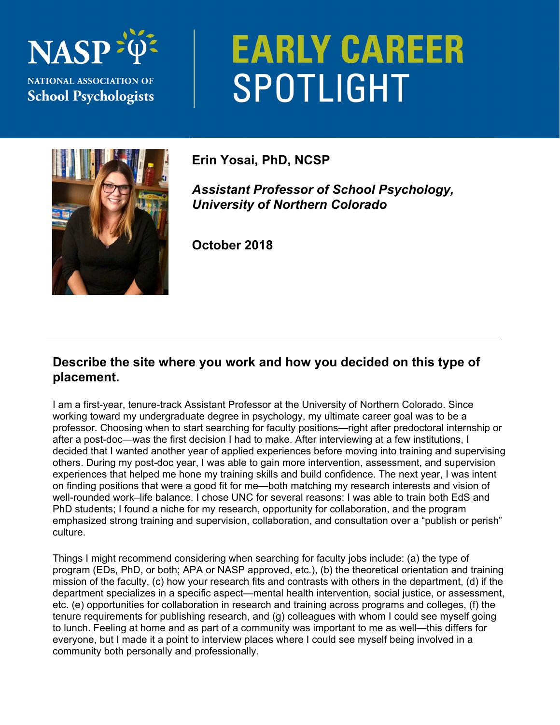

# **EARLY CAREER** SPOTLIGHT



**Erin Yosai, PhD, NCSP** 

*Assistant Professor of School Psychology, University of Northern Colorado* 

**October 2018** 

#### **Describe the site where you work and how you decided on this type of placement.**

I am a first-year, tenure-track Assistant Professor at the University of Northern Colorado. Since working toward my undergraduate degree in psychology, my ultimate career goal was to be a professor. Choosing when to start searching for faculty positions—right after predoctoral internship or after a post-doc—was the first decision I had to make. After interviewing at a few institutions, I decided that I wanted another year of applied experiences before moving into training and supervising others. During my post-doc year, I was able to gain more intervention, assessment, and supervision experiences that helped me hone my training skills and build confidence. The next year, I was intent on finding positions that were a good fit for me—both matching my research interests and vision of well-rounded work–life balance. I chose UNC for several reasons: I was able to train both EdS and PhD students; I found a niche for my research, opportunity for collaboration, and the program emphasized strong training and supervision, collaboration, and consultation over a "publish or perish" culture.

Things I might recommend considering when searching for faculty jobs include: (a) the type of program (EDs, PhD, or both; APA or NASP approved, etc.), (b) the theoretical orientation and training mission of the faculty, (c) how your research fits and contrasts with others in the department, (d) if the department specializes in a specific aspect—mental health intervention, social justice, or assessment, etc. (e) opportunities for collaboration in research and training across programs and colleges, (f) the tenure requirements for publishing research, and (g) colleagues with whom I could see myself going to lunch. Feeling at home and as part of a community was important to me as well—this differs for everyone, but I made it a point to interview places where I could see myself being involved in a community both personally and professionally.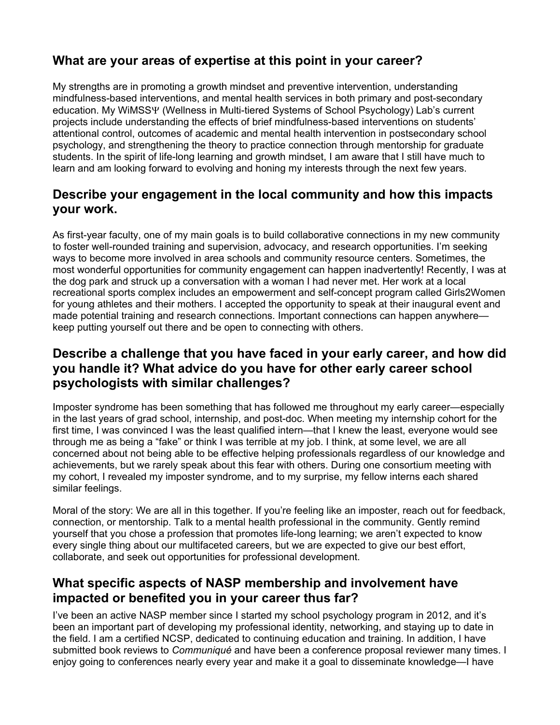# **What are your areas of expertise at this point in your career?**

My strengths are in promoting a growth mindset and preventive intervention, understanding mindfulness-based interventions, and mental health services in both primary and post-secondary education. My WiMSSY (Wellness in Multi-tiered Systems of School Psychology) Lab's current projects include understanding the effects of brief mindfulness-based interventions on students' attentional control, outcomes of academic and mental health intervention in postsecondary school psychology, and strengthening the theory to practice connection through mentorship for graduate students. In the spirit of life-long learning and growth mindset, I am aware that I still have much to learn and am looking forward to evolving and honing my interests through the next few years.

# **Describe your engagement in the local community and how this impacts your work.**

As first-year faculty, one of my main goals is to build collaborative connections in my new community to foster well-rounded training and supervision, advocacy, and research opportunities. I'm seeking ways to become more involved in area schools and community resource centers. Sometimes, the most wonderful opportunities for community engagement can happen inadvertently! Recently, I was at the dog park and struck up a conversation with a woman I had never met. Her work at a local recreational sports complex includes an empowerment and self-concept program called Girls2Women for young athletes and their mothers. I accepted the opportunity to speak at their inaugural event and made potential training and research connections. Important connections can happen anywhere keep putting yourself out there and be open to connecting with others.

## **Describe a challenge that you have faced in your early career, and how did you handle it? What advice do you have for other early career school psychologists with similar challenges?**

Imposter syndrome has been something that has followed me throughout my early career—especially in the last years of grad school, internship, and post-doc. When meeting my internship cohort for the first time, I was convinced I was the least qualified intern—that I knew the least, everyone would see through me as being a "fake" or think I was terrible at my job. I think, at some level, we are all concerned about not being able to be effective helping professionals regardless of our knowledge and achievements, but we rarely speak about this fear with others. During one consortium meeting with my cohort, I revealed my imposter syndrome, and to my surprise, my fellow interns each shared similar feelings.

Moral of the story: We are all in this together. If you're feeling like an imposter, reach out for feedback, connection, or mentorship. Talk to a mental health professional in the community. Gently remind yourself that you chose a profession that promotes life-long learning; we aren't expected to know every single thing about our multifaceted careers, but we are expected to give our best effort, collaborate, and seek out opportunities for professional development.

#### **What specific aspects of NASP membership and involvement have impacted or benefited you in your career thus far?**

I've been an active NASP member since I started my school psychology program in 2012, and it's been an important part of developing my professional identity, networking, and staying up to date in the field. I am a certified NCSP, dedicated to continuing education and training. In addition, I have submitted book reviews to *Communiqué* and have been a conference proposal reviewer many times. I enjoy going to conferences nearly every year and make it a goal to disseminate knowledge—I have